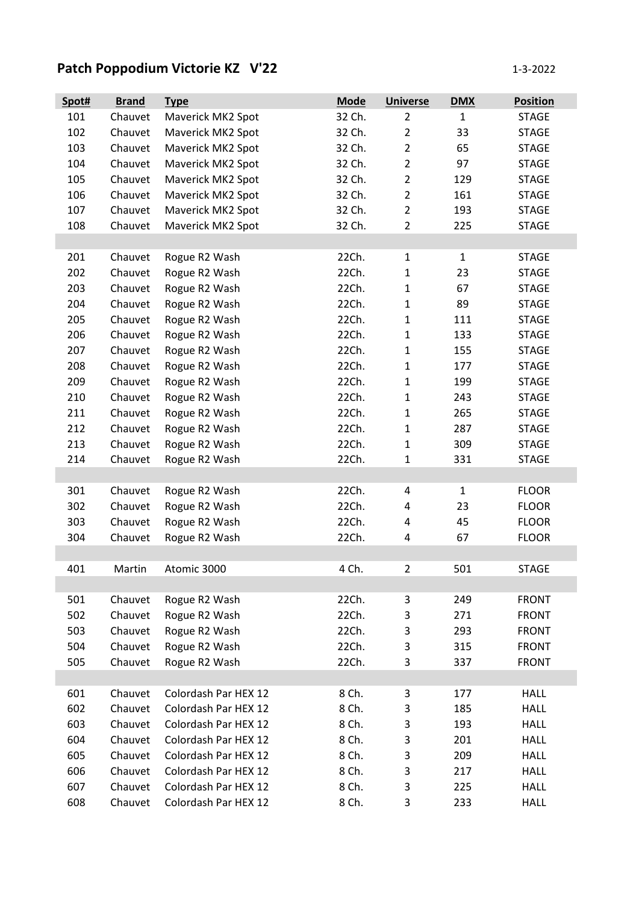## Patch Poppodium Victorie KZ V'22 1-3-2022

| Spot# | <b>Brand</b> | <b>Type</b>          | <b>Mode</b> | <b>Universe</b> | <b>DMX</b>   | <b>Position</b> |
|-------|--------------|----------------------|-------------|-----------------|--------------|-----------------|
| 101   | Chauvet      | Maverick MK2 Spot    | 32 Ch.      | $\overline{2}$  | $\mathbf{1}$ | <b>STAGE</b>    |
| 102   | Chauvet      | Maverick MK2 Spot    | 32 Ch.      | $\overline{2}$  | 33           | <b>STAGE</b>    |
| 103   | Chauvet      | Maverick MK2 Spot    | 32 Ch.      | $\overline{2}$  | 65           | <b>STAGE</b>    |
| 104   | Chauvet      | Maverick MK2 Spot    | 32 Ch.      | $\overline{2}$  | 97           | <b>STAGE</b>    |
| 105   | Chauvet      | Maverick MK2 Spot    | 32 Ch.      | $\overline{2}$  | 129          | <b>STAGE</b>    |
| 106   | Chauvet      | Maverick MK2 Spot    | 32 Ch.      | $\mathbf 2$     | 161          | <b>STAGE</b>    |
| 107   | Chauvet      | Maverick MK2 Spot    | 32 Ch.      | $\overline{2}$  | 193          | <b>STAGE</b>    |
| 108   | Chauvet      | Maverick MK2 Spot    | 32 Ch.      | $\overline{2}$  | 225          | <b>STAGE</b>    |
|       |              |                      |             |                 |              |                 |
| 201   | Chauvet      | Rogue R2 Wash        | 22Ch.       | $\mathbf{1}$    | $\mathbf{1}$ | <b>STAGE</b>    |
| 202   | Chauvet      | Rogue R2 Wash        | 22Ch.       | $\mathbf{1}$    | 23           | <b>STAGE</b>    |
| 203   | Chauvet      | Rogue R2 Wash        | 22Ch.       | $\mathbf{1}$    | 67           | <b>STAGE</b>    |
| 204   | Chauvet      | Rogue R2 Wash        | 22Ch.       | $\mathbf{1}$    | 89           | <b>STAGE</b>    |
| 205   | Chauvet      | Rogue R2 Wash        | 22Ch.       | $\mathbf{1}$    | 111          | <b>STAGE</b>    |
| 206   | Chauvet      | Rogue R2 Wash        | 22Ch.       | $\mathbf{1}$    | 133          | <b>STAGE</b>    |
| 207   | Chauvet      | Rogue R2 Wash        | 22Ch.       | $\mathbf{1}$    | 155          | <b>STAGE</b>    |
| 208   | Chauvet      | Rogue R2 Wash        | 22Ch.       | $\mathbf{1}$    | 177          | <b>STAGE</b>    |
| 209   | Chauvet      | Rogue R2 Wash        | 22Ch.       | $\mathbf{1}$    | 199          | <b>STAGE</b>    |
| 210   | Chauvet      | Rogue R2 Wash        | 22Ch.       | $\mathbf{1}$    | 243          | <b>STAGE</b>    |
| 211   | Chauvet      | Rogue R2 Wash        | 22Ch.       | $\mathbf{1}$    | 265          | <b>STAGE</b>    |
| 212   | Chauvet      | Rogue R2 Wash        | 22Ch.       | $\mathbf{1}$    | 287          | <b>STAGE</b>    |
| 213   | Chauvet      | Rogue R2 Wash        | 22Ch.       | $\mathbf{1}$    | 309          | <b>STAGE</b>    |
| 214   | Chauvet      | Rogue R2 Wash        | 22Ch.       | $\mathbf{1}$    | 331          | <b>STAGE</b>    |
|       |              |                      |             |                 |              |                 |
| 301   | Chauvet      | Rogue R2 Wash        | 22Ch.       | 4               | $\mathbf{1}$ | <b>FLOOR</b>    |
| 302   | Chauvet      | Rogue R2 Wash        | 22Ch.       | 4               | 23           | <b>FLOOR</b>    |
| 303   | Chauvet      | Rogue R2 Wash        | 22Ch.       | 4               | 45           | <b>FLOOR</b>    |
| 304   | Chauvet      | Rogue R2 Wash        | 22Ch.       | 4               | 67           | <b>FLOOR</b>    |
|       |              |                      |             |                 |              |                 |
| 401   | Martin       | Atomic 3000          | 4 Ch.       | $\overline{2}$  | 501          | <b>STAGE</b>    |
|       |              |                      |             |                 |              |                 |
| 501   | Chauvet      | Rogue R2 Wash        | 22Ch.       | 3               | 249          | <b>FRONT</b>    |
| 502   | Chauvet      | Rogue R2 Wash        | 22Ch.       | 3               | 271          | <b>FRONT</b>    |
| 503   | Chauvet      | Rogue R2 Wash        | 22Ch.       | 3               | 293          | <b>FRONT</b>    |
| 504   | Chauvet      | Rogue R2 Wash        | 22Ch.       | 3               | 315          | <b>FRONT</b>    |
| 505   | Chauvet      | Rogue R2 Wash        | 22Ch.       | 3               | 337          | <b>FRONT</b>    |
|       |              |                      |             |                 |              |                 |
| 601   | Chauvet      | Colordash Par HEX 12 | 8 Ch.       | 3               | 177          | <b>HALL</b>     |
| 602   | Chauvet      | Colordash Par HEX 12 | 8 Ch.       | 3               | 185          | <b>HALL</b>     |
| 603   | Chauvet      | Colordash Par HEX 12 | 8 Ch.       | 3               | 193          | <b>HALL</b>     |
| 604   | Chauvet      | Colordash Par HEX 12 | 8 Ch.       | 3               | 201          | <b>HALL</b>     |
| 605   | Chauvet      | Colordash Par HEX 12 | 8 Ch.       | 3               | 209          | <b>HALL</b>     |
| 606   | Chauvet      | Colordash Par HEX 12 | 8 Ch.       | 3               | 217          | <b>HALL</b>     |
| 607   | Chauvet      | Colordash Par HEX 12 | 8 Ch.       | 3               | 225          | <b>HALL</b>     |
| 608   | Chauvet      | Colordash Par HEX 12 | 8 Ch.       | 3               | 233          | <b>HALL</b>     |